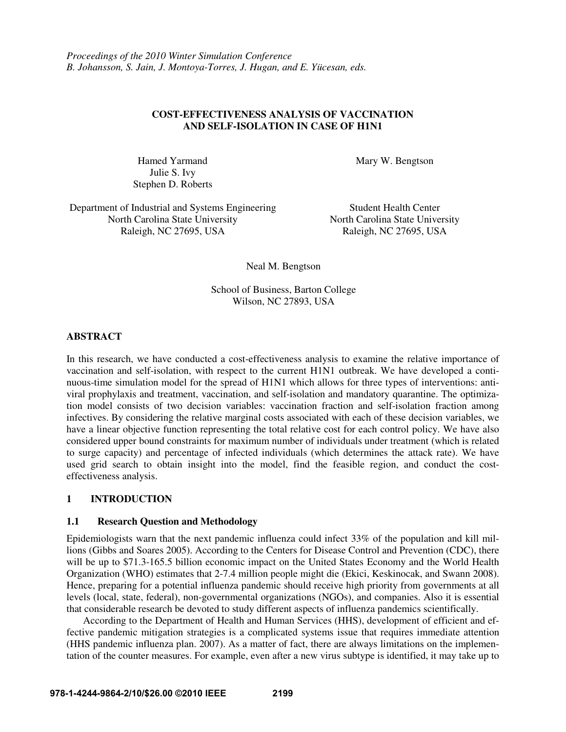# **COST-EFFECTIVENESS ANALYSIS OF VACCINATION AND SELF-ISOLATION IN CASE OF H1N1**

Julie S. Ivy Stephen D. Roberts

Hamed Yarmand Mary W. Bengtson

Department of Industrial and Systems Engineering Student Health Center North Carolina State University North Carolina State University Raleigh, NC 27695, USA Raleigh, NC 27695, USA

Neal M. Bengtson

School of Business, Barton College Wilson, NC 27893, USA

## **ABSTRACT**

In this research, we have conducted a cost-effectiveness analysis to examine the relative importance of vaccination and self-isolation, with respect to the current H1N1 outbreak. We have developed a continuous-time simulation model for the spread of H1N1 which allows for three types of interventions: antiviral prophylaxis and treatment, vaccination, and self-isolation and mandatory quarantine. The optimization model consists of two decision variables: vaccination fraction and self-isolation fraction among infectives. By considering the relative marginal costs associated with each of these decision variables, we have a linear objective function representing the total relative cost for each control policy. We have also considered upper bound constraints for maximum number of individuals under treatment (which is related to surge capacity) and percentage of infected individuals (which determines the attack rate). We have used grid search to obtain insight into the model, find the feasible region, and conduct the costeffectiveness analysis.

# **1 INTRODUCTION**

## **1.1 Research Question and Methodology**

Epidemiologists warn that the next pandemic influenza could infect 33% of the population and kill millions (Gibbs and Soares 2005). According to the Centers for Disease Control and Prevention (CDC), there will be up to \$71.3-165.5 billion economic impact on the United States Economy and the World Health Organization (WHO) estimates that 2-7.4 million people might die (Ekici, Keskinocak, and Swann 2008). Hence, preparing for a potential influenza pandemic should receive high priority from governments at all levels (local, state, federal), non-governmental organizations (NGOs), and companies. Also it is essential that considerable research be devoted to study different aspects of influenza pandemics scientifically.

 According to the Department of Health and Human Services (HHS), development of efficient and effective pandemic mitigation strategies is a complicated systems issue that requires immediate attention (HHS pandemic influenza plan. 2007). As a matter of fact, there are always limitations on the implementation of the counter measures. For example, even after a new virus subtype is identified, it may take up to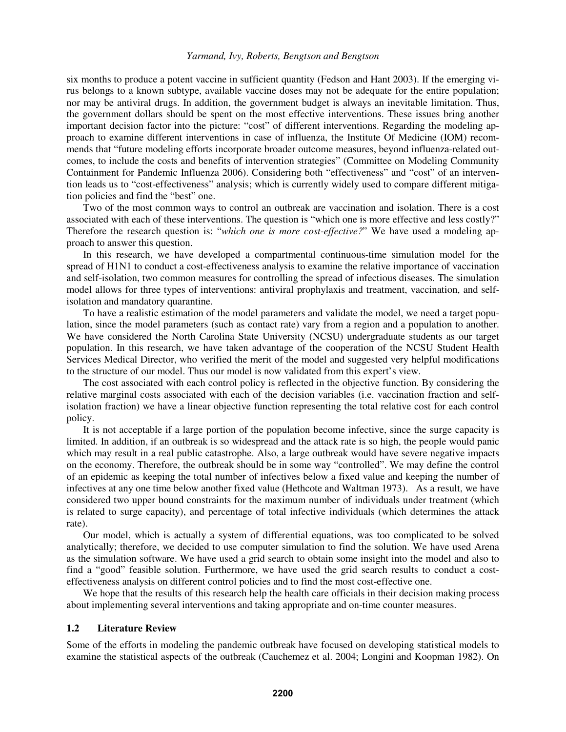six months to produce a potent vaccine in sufficient quantity (Fedson and Hant 2003). If the emerging virus belongs to a known subtype, available vaccine doses may not be adequate for the entire population; nor may be antiviral drugs. In addition, the government budget is always an inevitable limitation. Thus, the government dollars should be spent on the most effective interventions. These issues bring another important decision factor into the picture: "cost" of different interventions. Regarding the modeling approach to examine different interventions in case of influenza, the Institute Of Medicine (IOM) recommends that "future modeling efforts incorporate broader outcome measures, beyond influenza-related outcomes, to include the costs and benefits of intervention strategies" (Committee on Modeling Community Containment for Pandemic Influenza 2006). Considering both "effectiveness" and "cost" of an intervention leads us to "cost-effectiveness" analysis; which is currently widely used to compare different mitigation policies and find the "best" one.

 Two of the most common ways to control an outbreak are vaccination and isolation. There is a cost associated with each of these interventions. The question is "which one is more effective and less costly?" Therefore the research question is: "*which one is more cost-effective?*" We have used a modeling approach to answer this question.

 In this research, we have developed a compartmental continuous-time simulation model for the spread of H1N1 to conduct a cost-effectiveness analysis to examine the relative importance of vaccination and self-isolation, two common measures for controlling the spread of infectious diseases. The simulation model allows for three types of interventions: antiviral prophylaxis and treatment, vaccination, and selfisolation and mandatory quarantine.

 To have a realistic estimation of the model parameters and validate the model, we need a target population, since the model parameters (such as contact rate) vary from a region and a population to another. We have considered the North Carolina State University (NCSU) undergraduate students as our target population. In this research, we have taken advantage of the cooperation of the NCSU Student Health Services Medical Director, who verified the merit of the model and suggested very helpful modifications to the structure of our model. Thus our model is now validated from this expert's view.

 The cost associated with each control policy is reflected in the objective function. By considering the relative marginal costs associated with each of the decision variables (i.e. vaccination fraction and selfisolation fraction) we have a linear objective function representing the total relative cost for each control policy.

 It is not acceptable if a large portion of the population become infective, since the surge capacity is limited. In addition, if an outbreak is so widespread and the attack rate is so high, the people would panic which may result in a real public catastrophe. Also, a large outbreak would have severe negative impacts on the economy. Therefore, the outbreak should be in some way "controlled". We may define the control of an epidemic as keeping the total number of infectives below a fixed value and keeping the number of infectives at any one time below another fixed value (Hethcote and Waltman 1973). As a result, we have considered two upper bound constraints for the maximum number of individuals under treatment (which is related to surge capacity), and percentage of total infective individuals (which determines the attack rate).

 Our model, which is actually a system of differential equations, was too complicated to be solved analytically; therefore, we decided to use computer simulation to find the solution. We have used Arena as the simulation software. We have used a grid search to obtain some insight into the model and also to find a "good" feasible solution. Furthermore, we have used the grid search results to conduct a costeffectiveness analysis on different control policies and to find the most cost-effective one.

We hope that the results of this research help the health care officials in their decision making process about implementing several interventions and taking appropriate and on-time counter measures.

#### **1.2 Literature Review**

Some of the efforts in modeling the pandemic outbreak have focused on developing statistical models to examine the statistical aspects of the outbreak (Cauchemez et al. 2004; Longini and Koopman 1982). On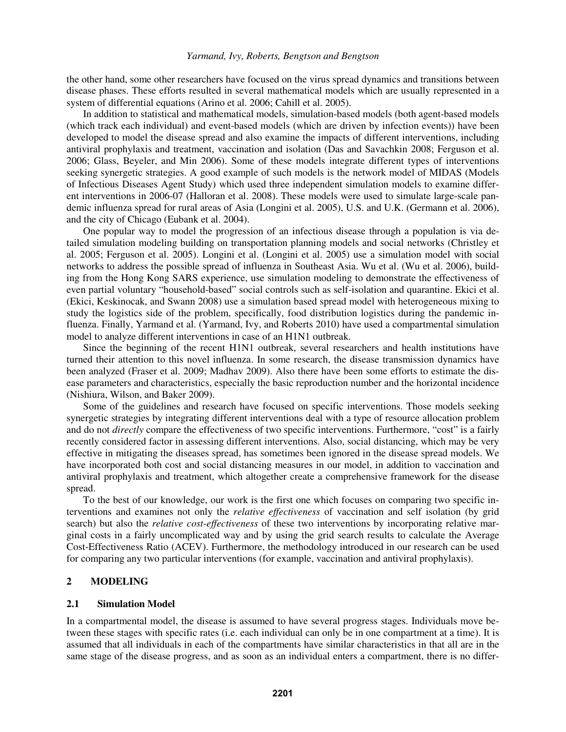the other hand, some other researchers have focused on the virus spread dynamics and transitions between disease phases. These efforts resulted in several mathematical models which are usually represented in a system of differential equations (Arino et al. 2006; Cahill et al. 2005).

 In addition to statistical and mathematical models, simulation-based models (both agent-based models (which track each individual) and event-based models (which are driven by infection events)) have been developed to model the disease spread and also examine the impacts of different interventions, including antiviral prophylaxis and treatment, vaccination and isolation (Das and Savachkin 2008; Ferguson et al. 2006; Glass, Beyeler, and Min 2006). Some of these models integrate different types of interventions seeking synergetic strategies. A good example of such models is the network model of MIDAS (Models of Infectious Diseases Agent Study) which used three independent simulation models to examine different interventions in 2006-07 (Halloran et al. 2008). These models were used to simulate large-scale pandemic influenza spread for rural areas of Asia (Longini et al. 2005), U.S. and U.K. (Germann et al. 2006), and the city of Chicago (Eubank et al. 2004).

 One popular way to model the progression of an infectious disease through a population is via detailed simulation modeling building on transportation planning models and social networks (Christley et al. 2005; Ferguson et al. 2005). Longini et al. (Longini et al. 2005) use a simulation model with social networks to address the possible spread of influenza in Southeast Asia. Wu et al. (Wu et al. 2006), building from the Hong Kong SARS experience, use simulation modeling to demonstrate the effectiveness of even partial voluntary "household-based" social controls such as self-isolation and quarantine. Ekici et al. (Ekici, Keskinocak, and Swann 2008) use a simulation based spread model with heterogeneous mixing to study the logistics side of the problem, specifically, food distribution logistics during the pandemic influenza. Finally, Yarmand et al. (Yarmand, Ivy, and Roberts 2010) have used a compartmental simulation model to analyze different interventions in case of an H1N1 outbreak.

 Since the beginning of the recent H1N1 outbreak, several researchers and health institutions have turned their attention to this novel influenza. In some research, the disease transmission dynamics have been analyzed (Fraser et al. 2009; Madhav 2009). Also there have been some efforts to estimate the disease parameters and characteristics, especially the basic reproduction number and the horizontal incidence (Nishiura, Wilson, and Baker 2009).

 Some of the guidelines and research have focused on specific interventions. Those models seeking synergetic strategies by integrating different interventions deal with a type of resource allocation problem and do not *directly* compare the effectiveness of two specific interventions. Furthermore, "cost" is a fairly recently considered factor in assessing different interventions. Also, social distancing, which may be very effective in mitigating the diseases spread, has sometimes been ignored in the disease spread models. We have incorporated both cost and social distancing measures in our model, in addition to vaccination and antiviral prophylaxis and treatment, which altogether create a comprehensive framework for the disease spread.

 To the best of our knowledge, our work is the first one which focuses on comparing two specific interventions and examines not only the *relative effectiveness* of vaccination and self isolation (by grid search) but also the *relative cost-effectiveness* of these two interventions by incorporating relative marginal costs in a fairly uncomplicated way and by using the grid search results to calculate the Average Cost-Effectiveness Ratio (ACEV). Furthermore, the methodology introduced in our research can be used for comparing any two particular interventions (for example, vaccination and antiviral prophylaxis).

# **2 MODELING**

#### **2.1 Simulation Model**

In a compartmental model, the disease is assumed to have several progress stages. Individuals move between these stages with specific rates (i.e. each individual can only be in one compartment at a time). It is assumed that all individuals in each of the compartments have similar characteristics in that all are in the same stage of the disease progress, and as soon as an individual enters a compartment, there is no differ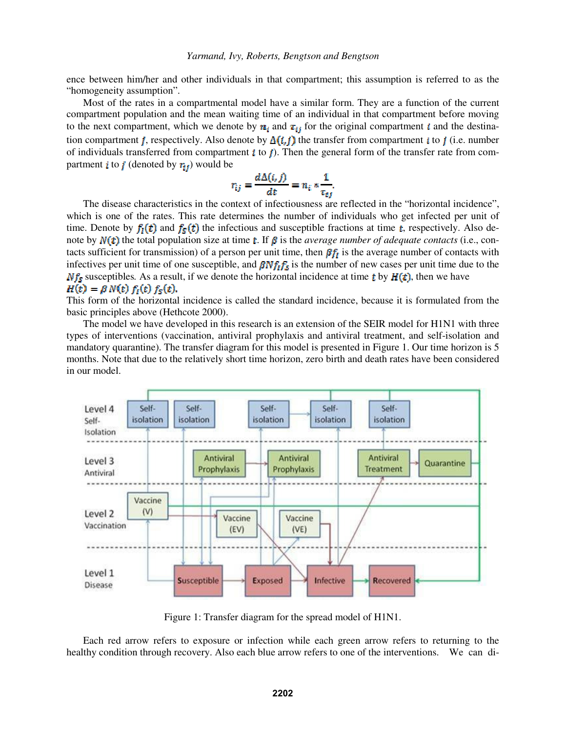ence between him/her and other individuals in that compartment; this assumption is referred to as the "homogeneity assumption".

 Most of the rates in a compartmental model have a similar form. They are a function of the current compartment population and the mean waiting time of an individual in that compartment before moving to the next compartment, which we denote by  $n_i$  and  $\tau_{ij}$  for the original compartment i and the destination compartment j, respectively. Also denote by  $\Delta(i, j)$  the transfer from compartment i to j (i.e. number of individuals transferred from compartment  $\boldsymbol{i}$  to  $\boldsymbol{j}$ ). Then the general form of the transfer rate from compartment *i* to *j* (denoted by  $r_{ij}$ ) would be

$$
r_{ij} = \frac{d \Delta(i, j)}{dt} = n_i * \frac{1}{\tau_{ij}}.
$$

 The disease characteristics in the context of infectiousness are reflected in the "horizontal incidence", which is one of the rates. This rate determines the number of individuals who get infected per unit of time. Denote by  $f_i(t)$  and  $f_s(t)$  the infectious and susceptible fractions at time t, respectively. Also denote by  $N(t)$  the total population size at time t. If  $\beta$  is the *average number of adequate contacts* (i.e., contacts sufficient for transmission) of a person per unit time, then  $\beta f_I$  is the average number of contacts with infectives per unit time of one susceptible, and  $\beta N f_i f_s$  is the number of new cases per unit time due to the  $Nf_s$  susceptibles. As a result, if we denote the horizontal incidence at time t by  $H(t)$ , then we have  $H(t) = \beta N(t) f_1(t) f_2(t).$ 

This form of the horizontal incidence is called the standard incidence, because it is formulated from the basic principles above (Hethcote 2000).

The model we have developed in this research is an extension of the SEIR model for H1N1 with three types of interventions (vaccination, antiviral prophylaxis and antiviral treatment, and self-isolation and mandatory quarantine). The transfer diagram for this model is presented in Figure 1. Our time horizon is 5 months. Note that due to the relatively short time horizon, zero birth and death rates have been considered in our model.



Figure 1: Transfer diagram for the spread model of H1N1.

 Each red arrow refers to exposure or infection while each green arrow refers to returning to the healthy condition through recovery. Also each blue arrow refers to one of the interventions. We can di-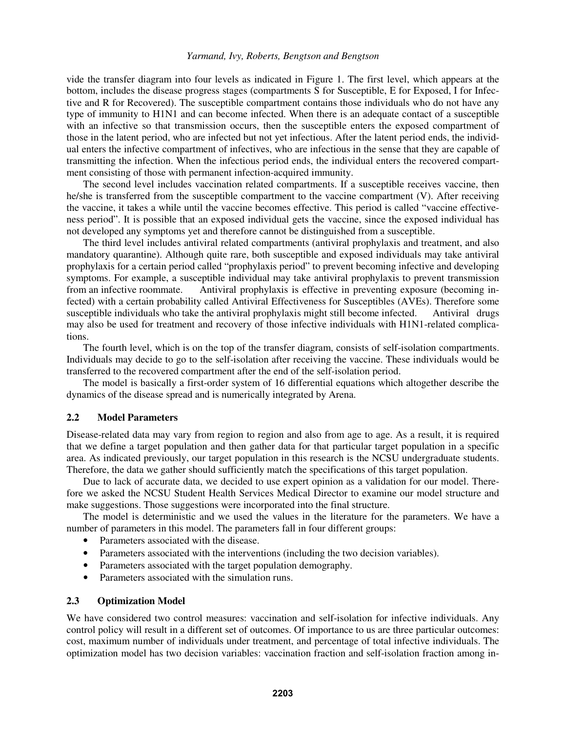vide the transfer diagram into four levels as indicated in Figure 1. The first level, which appears at the bottom, includes the disease progress stages (compartments S for Susceptible, E for Exposed, I for Infective and R for Recovered). The susceptible compartment contains those individuals who do not have any type of immunity to H1N1 and can become infected. When there is an adequate contact of a susceptible with an infective so that transmission occurs, then the susceptible enters the exposed compartment of those in the latent period, who are infected but not yet infectious. After the latent period ends, the individual enters the infective compartment of infectives, who are infectious in the sense that they are capable of transmitting the infection. When the infectious period ends, the individual enters the recovered compartment consisting of those with permanent infection-acquired immunity.

The second level includes vaccination related compartments. If a susceptible receives vaccine, then he/she is transferred from the susceptible compartment to the vaccine compartment (V). After receiving the vaccine, it takes a while until the vaccine becomes effective. This period is called "vaccine effectiveness period". It is possible that an exposed individual gets the vaccine, since the exposed individual has not developed any symptoms yet and therefore cannot be distinguished from a susceptible.

 The third level includes antiviral related compartments (antiviral prophylaxis and treatment, and also mandatory quarantine). Although quite rare, both susceptible and exposed individuals may take antiviral prophylaxis for a certain period called "prophylaxis period" to prevent becoming infective and developing symptoms. For example, a susceptible individual may take antiviral prophylaxis to prevent transmission from an infective roommate. Antiviral prophylaxis is effective in preventing exposure (becoming in-Antiviral prophylaxis is effective in preventing exposure (becoming infected) with a certain probability called Antiviral Effectiveness for Susceptibles (AVEs). Therefore some susceptible individuals who take the antiviral prophylaxis might still become infected. Antiviral drugs may also be used for treatment and recovery of those infective individuals with H1N1-related complications.

 The fourth level, which is on the top of the transfer diagram, consists of self-isolation compartments. Individuals may decide to go to the self-isolation after receiving the vaccine. These individuals would be transferred to the recovered compartment after the end of the self-isolation period.

The model is basically a first-order system of 16 differential equations which altogether describe the dynamics of the disease spread and is numerically integrated by Arena.

# **2.2 Model Parameters**

Disease-related data may vary from region to region and also from age to age. As a result, it is required that we define a target population and then gather data for that particular target population in a specific area. As indicated previously, our target population in this research is the NCSU undergraduate students. Therefore, the data we gather should sufficiently match the specifications of this target population.

 Due to lack of accurate data, we decided to use expert opinion as a validation for our model. Therefore we asked the NCSU Student Health Services Medical Director to examine our model structure and make suggestions. Those suggestions were incorporated into the final structure.

 The model is deterministic and we used the values in the literature for the parameters. We have a number of parameters in this model. The parameters fall in four different groups:

- Parameters associated with the disease.
- Parameters associated with the interventions (including the two decision variables).
- Parameters associated with the target population demography.
- Parameters associated with the simulation runs.

# **2.3 Optimization Model**

We have considered two control measures: vaccination and self-isolation for infective individuals. Any control policy will result in a different set of outcomes. Of importance to us are three particular outcomes: cost, maximum number of individuals under treatment, and percentage of total infective individuals. The optimization model has two decision variables: vaccination fraction and self-isolation fraction among in-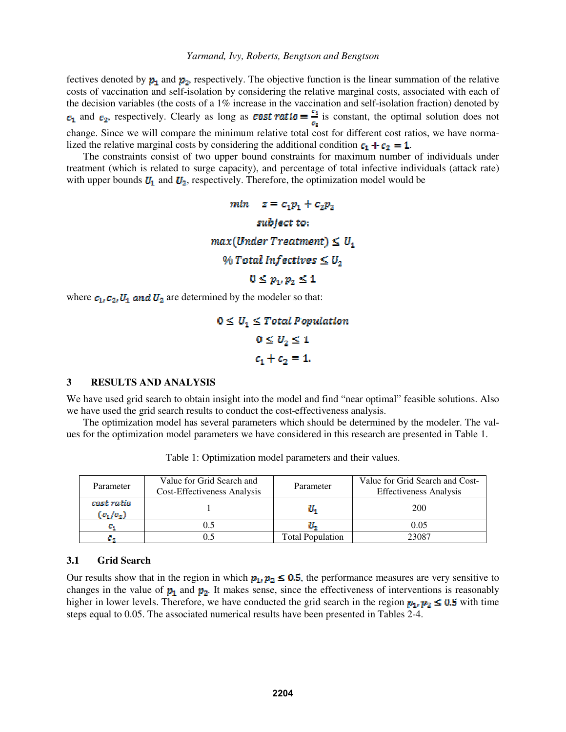fectives denoted by  $p_1$  and  $p_2$ , respectively. The objective function is the linear summation of the relative costs of vaccination and self-isolation by considering the relative marginal costs, associated with each of the decision variables (the costs of a 1% increase in the vaccination and self-isolation fraction) denoted by  $c_1$  and  $c_2$ , respectively. Clearly as long as **cost ratio** =  $\frac{\sigma_1}{\sigma_2}$  is constant, the optimal solution does not change. Since we will compare the minimum relative total cost for different cost ratios, we have normalized the relative marginal costs by considering the additional condition  $c_1 + c_2 = 1$ .

 The constraints consist of two upper bound constraints for maximum number of individuals under treatment (which is related to surge capacity), and percentage of total infective individuals (attack rate) with upper bounds  $U_1$  and  $U_2$ , respectively. Therefore, the optimization model would be

> *min*  $z = c_1 p_1 + c_2 p_2$ subject to:  $max(Under Treatment) \leq U_1$ % Total Infectives  $\leq U_2$  $0 \le p_1, p_2 \le 1$

where  $c_1, c_2, U_1$  and  $U_2$  are determined by the modeler so that:

 $0 \leq U_1 \leq Total Population$  $0 \leq U_2 \leq 1$  $c_1 + c_2 = 1.$ 

## **3 RESULTS AND ANALYSIS**

We have used grid search to obtain insight into the model and find "near optimal" feasible solutions. Also we have used the grid search results to conduct the cost-effectiveness analysis.

 The optimization model has several parameters which should be determined by the modeler. The values for the optimization model parameters we have considered in this research are presented in Table 1.

| Parameter                 | Value for Grid Search and<br>Cost-Effectiveness Analysis | Parameter               | Value for Grid Search and Cost-<br><b>Effectiveness Analysis</b> |
|---------------------------|----------------------------------------------------------|-------------------------|------------------------------------------------------------------|
| cost ratio<br>$(c_1/c_2)$ |                                                          |                         | 200                                                              |
| G.                        |                                                          |                         | 0.05                                                             |
|                           |                                                          | <b>Total Population</b> | 23087                                                            |

Table 1: Optimization model parameters and their values.

## **3.1 Grid Search**

Our results show that in the region in which  $p_1$ ,  $p_2 \le 0.5$ , the performance measures are very sensitive to changes in the value of  $p_1$  and  $p_2$ . It makes sense, since the effectiveness of interventions is reasonably higher in lower levels. Therefore, we have conducted the grid search in the region  $p_1, p_2 \le 0.5$  with time steps equal to 0.05. The associated numerical results have been presented in Tables 2-4.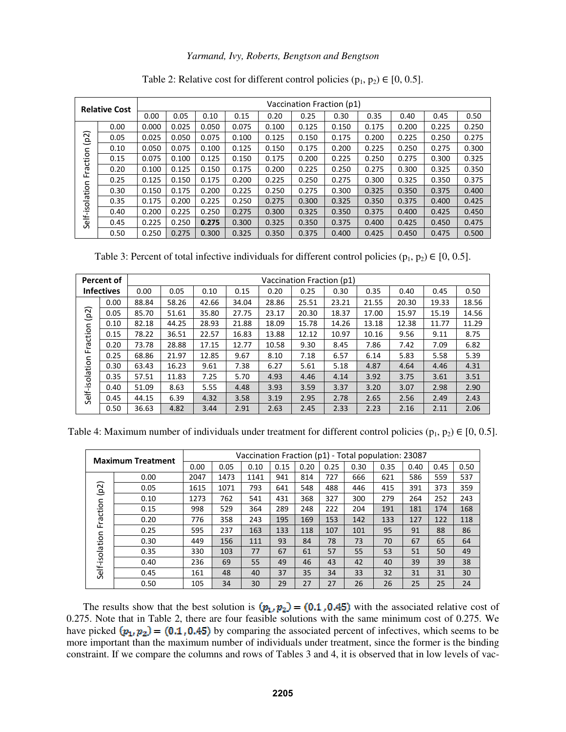| <b>Relative Cost</b> |      | Vaccination Fraction (p1) |       |       |       |       |       |       |       |       |       |       |  |
|----------------------|------|---------------------------|-------|-------|-------|-------|-------|-------|-------|-------|-------|-------|--|
|                      |      | 0.00                      | 0.05  | 0.10  | 0.15  | 0.20  | 0.25  | 0.30  | 0.35  | 0.40  | 0.45  | 0.50  |  |
|                      | 0.00 | 0.000                     | 0.025 | 0.050 | 0.075 | 0.100 | 0.125 | 0.150 | 0.175 | 0.200 | 0.225 | 0.250 |  |
| (p2)                 | 0.05 | 0.025                     | 0.050 | 0.075 | 0.100 | 0.125 | 0.150 | 0.175 | 0.200 | 0.225 | 0.250 | 0.275 |  |
|                      | 0.10 | 0.050                     | 0.075 | 0.100 | 0.125 | 0.150 | 0.175 | 0.200 | 0.225 | 0.250 | 0.275 | 0.300 |  |
| raction              | 0.15 | 0.075                     | 0.100 | 0.125 | 0.150 | 0.175 | 0.200 | 0.225 | 0.250 | 0.275 | 0.300 | 0.325 |  |
|                      | 0.20 | 0.100                     | 0.125 | 0.150 | 0.175 | 0.200 | 0.225 | 0.250 | 0.275 | 0.300 | 0.325 | 0.350 |  |
| ╙                    | 0.25 | 0.125                     | 0.150 | 0.175 | 0.200 | 0.225 | 0.250 | 0.275 | 0.300 | 0.325 | 0.350 | 0.375 |  |
|                      | 0.30 | 0.150                     | 0.175 | 0.200 | 0.225 | 0.250 | 0.275 | 0.300 | 0.325 | 0.350 | 0.375 | 0.400 |  |
|                      | 0.35 | 0.175                     | 0.200 | 0.225 | 0.250 | 0.275 | 0.300 | 0.325 | 0.350 | 0.375 | 0.400 | 0.425 |  |
|                      | 0.40 | 0.200                     | 0.225 | 0.250 | 0.275 | 0.300 | 0.325 | 0.350 | 0.375 | 0.400 | 0.425 | 0.450 |  |
| Self-isolation       | 0.45 | 0.225                     | 0.250 | 0.275 | 0.300 | 0.325 | 0.350 | 0.375 | 0.400 | 0.425 | 0.450 | 0.475 |  |
|                      | 0.50 | 0.250                     | 0.275 | 0.300 | 0.325 | 0.350 | 0.375 | 0.400 | 0.425 | 0.450 | 0.475 | 0.500 |  |

Table 2: Relative cost for different control policies  $(p_1, p_2) \in [0, 0.5]$ .

Table 3: Percent of total infective individuals for different control policies ( $p_1$ ,  $p_2$ )  $\in$  [0, 0.5].

|                   | <b>Percent of</b> | Vaccination Fraction (p1) |       |       |       |       |       |       |       |       |       |       |  |  |
|-------------------|-------------------|---------------------------|-------|-------|-------|-------|-------|-------|-------|-------|-------|-------|--|--|
| <b>Infectives</b> |                   | 0.00                      | 0.05  | 0.10  | 0.15  | 0.20  | 0.25  | 0.30  | 0.35  | 0.40  | 0.45  | 0.50  |  |  |
|                   | 0.00              | 88.84                     | 58.26 | 42.66 | 34.04 | 28.86 | 25.51 | 23.21 | 21.55 | 20.30 | 19.33 | 18.56 |  |  |
| (p2)              | 0.05              | 85.70                     | 51.61 | 35.80 | 27.75 | 23.17 | 20.30 | 18.37 | 17.00 | 15.97 | 15.19 | 14.56 |  |  |
|                   | 0.10              | 82.18                     | 44.25 | 28.93 | 21.88 | 18.09 | 15.78 | 14.26 | 13.18 | 12.38 | 11.77 | 11.29 |  |  |
| raction           | 0.15              | 78.22                     | 36.51 | 22.57 | 16.83 | 13.88 | 12.12 | 10.97 | 10.16 | 9.56  | 9.11  | 8.75  |  |  |
|                   | 0.20              | 73.78                     | 28.88 | 17.15 | 12.77 | 10.58 | 9.30  | 8.45  | 7.86  | 7.42  | 7.09  | 6.82  |  |  |
| ட                 | 0.25              | 68.86                     | 21.97 | 12.85 | 9.67  | 8.10  | 7.18  | 6.57  | 6.14  | 5.83  | 5.58  | 5.39  |  |  |
|                   | 0.30              | 63.43                     | 16.23 | 9.61  | 7.38  | 6.27  | 5.61  | 5.18  | 4.87  | 4.64  | 4.46  | 4.31  |  |  |
|                   | 0.35              | 57.51                     | 11.83 | 7.25  | 5.70  | 4.93  | 4.46  | 4.14  | 3.92  | 3.75  | 3.61  | 3.51  |  |  |
| Self-isolation    | 0.40              | 51.09                     | 8.63  | 5.55  | 4.48  | 3.93  | 3.59  | 3.37  | 3.20  | 3.07  | 2.98  | 2.90  |  |  |
|                   | 0.45              | 44.15                     | 6.39  | 4.32  | 3.58  | 3.19  | 2.95  | 2.78  | 2.65  | 2.56  | 2.49  | 2.43  |  |  |
|                   | 0.50              | 36.63                     | 4.82  | 3.44  | 2.91  | 2.63  | 2.45  | 2.33  | 2.23  | 2.16  | 2.11  | 2.06  |  |  |

Table 4: Maximum number of individuals under treatment for different control policies ( $p_1, p_2$ )  $\in [0, 0.5]$ .

| <b>Maximum Treatment</b> |      | Vaccination Fraction (p1) - Total population: 23087 |      |      |      |      |      |      |      |      |      |      |  |
|--------------------------|------|-----------------------------------------------------|------|------|------|------|------|------|------|------|------|------|--|
|                          |      | 0.00                                                | 0.05 | 0.10 | 0.15 | 0.20 | 0.25 | 0.30 | 0.35 | 0.40 | 0.45 | 0.50 |  |
|                          | 0.00 | 2047                                                | 1473 | 1141 | 941  | 814  | 727  | 666  | 621  | 586  | 559  | 537  |  |
| ล<br>ف                   | 0.05 | 1615                                                | 1071 | 793  | 641  | 548  | 488  | 446  | 415  | 391  | 373  | 359  |  |
|                          | 0.10 | 1273                                                | 762  | 541  | 431  | 368  | 327  | 300  | 279  | 264  | 252  | 243  |  |
| Fraction                 | 0.15 | 998                                                 | 529  | 364  | 289  | 248  | 222  | 204  | 191  | 181  | 174  | 168  |  |
|                          | 0.20 | 776                                                 | 358  | 243  | 195  | 169  | 153  | 142  | 133  | 127  | 122  | 118  |  |
|                          | 0.25 | 595                                                 | 237  | 163  | 133  | 118  | 107  | 101  | 95   | 91   | 88   | 86   |  |
|                          | 0.30 | 449                                                 | 156  | 111  | 93   | 84   | 78   | 73   | 70   | 67   | 65   | 64   |  |
|                          | 0.35 | 330                                                 | 103  | 77   | 67   | 61   | 57   | 55   | 53   | 51   | 50   | 49   |  |
| Self-isolation           | 0.40 | 236                                                 | 69   | 55   | 49   | 46   | 43   | 42   | 40   | 39   | 39   | 38   |  |
|                          | 0.45 | 161                                                 | 48   | 40   | 37   | 35   | 34   | 33   | 32   | 31   | 31   | 30   |  |
|                          | 0.50 | 105                                                 | 34   | 30   | 29   | 27   | 27   | 26   | 26   | 25   | 25   | 24   |  |

The results show that the best solution is  $(p_1, p_2) = (0.1, 0.45)$  with the associated relative cost of 0.275. Note that in Table 2, there are four feasible solutions with the same minimum cost of 0.275. We have picked  $(p_1, p_2) = (0.1, 0.45)$  by comparing the associated percent of infectives, which seems to be more important than the maximum number of individuals under treatment, since the former is the binding constraint. If we compare the columns and rows of Tables 3 and 4, it is observed that in low levels of vac-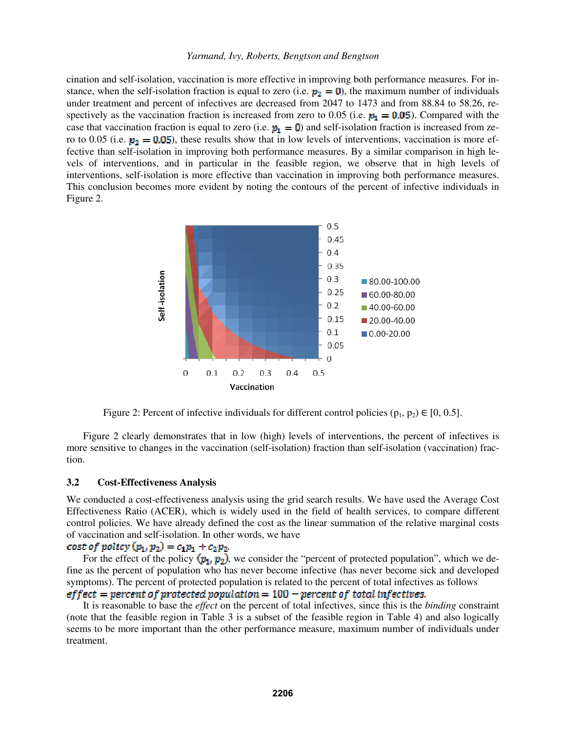cination and self-isolation, vaccination is more effective in improving both performance measures. For instance, when the self-isolation fraction is equal to zero (i.e.  $p_2 = 0$ ), the maximum number of individuals under treatment and percent of infectives are decreased from 2047 to 1473 and from 88.84 to 58.26, respectively as the vaccination fraction is increased from zero to 0.05 (i.e.  $p_1 = 0.05$ ). Compared with the case that vaccination fraction is equal to zero (i.e.  $p_1 = 0$ ) and self-isolation fraction is increased from zero to 0.05 (i.e.  $p_2 = 0.05$ ), these results show that in low levels of interventions, vaccination is more effective than self-isolation in improving both performance measures. By a similar comparison in high levels of interventions, and in particular in the feasible region, we observe that in high levels of interventions, self-isolation is more effective than vaccination in improving both performance measures. This conclusion becomes more evident by noting the contours of the percent of infective individuals in Figure 2.



Figure 2: Percent of infective individuals for different control policies ( $p_1, p_2$ ) ∈ [0, 0.5].

 Figure 2 clearly demonstrates that in low (high) levels of interventions, the percent of infectives is more sensitive to changes in the vaccination (self-isolation) fraction than self-isolation (vaccination) fraction.

## **3.2 Cost-Effectiveness Analysis**

We conducted a cost-effectiveness analysis using the grid search results. We have used the Average Cost Effectiveness Ratio (ACER), which is widely used in the field of health services, to compare different control policies. We have already defined the cost as the linear summation of the relative marginal costs of vaccination and self-isolation. In other words, we have **cost of policy**  $(p_1, p_2) = c_1p_1 + c_2p_2$ .

For the effect of the policy  $(p_1, p_2)$ , we consider the "percent of protected population", which we define as the percent of population who has never become infective (has never become sick and developed symptoms). The percent of protected population is related to the percent of total infectives as follows

# $effect = percent of protected population = 100 - percent of total infectives.$

It is reasonable to base the *effect* on the percent of total infectives, since this is the *binding* constraint (note that the feasible region in Table 3 is a subset of the feasible region in Table 4) and also logically seems to be more important than the other performance measure, maximum number of individuals under treatment.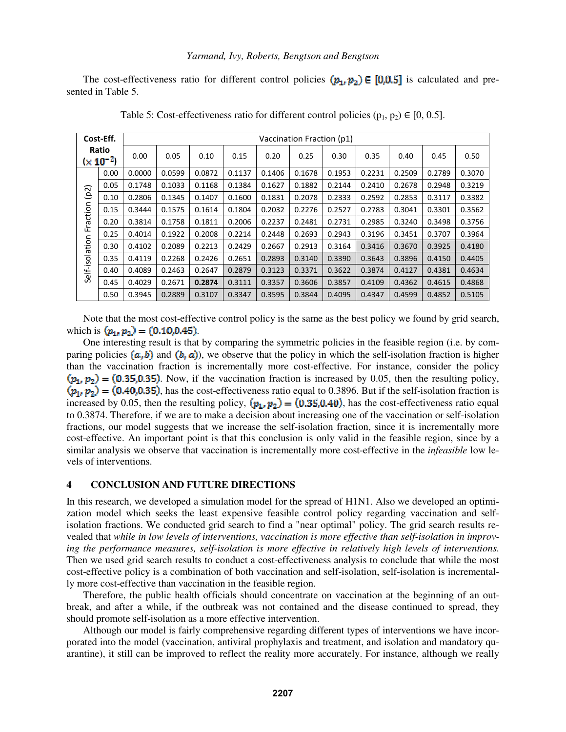The cost-effectiveness ratio for different control policies  $(p_1, p_2) \in [0,0.5]$  is calculated and presented in Table 5.

|                        | Cost-Eff. |        | Vaccination Fraction (p1) |        |        |        |        |        |        |        |        |        |  |  |  |
|------------------------|-----------|--------|---------------------------|--------|--------|--------|--------|--------|--------|--------|--------|--------|--|--|--|
| Ratio<br>$(x 10^{-2})$ |           | 0.00   | 0.05                      | 0.10   | 0.15   | 0.20   | 0.25   | 0.30   | 0.35   | 0.40   | 0.45   | 0.50   |  |  |  |
|                        | 0.00      | 0.0000 | 0.0599                    | 0.0872 | 0.1137 | 0.1406 | 0.1678 | 0.1953 | 0.2231 | 0.2509 | 0.2789 | 0.3070 |  |  |  |
|                        | 0.05      | 0.1748 | 0.1033                    | 0.1168 | 0.1384 | 0.1627 | 0.1882 | 0.2144 | 0.2410 | 0.2678 | 0.2948 | 0.3219 |  |  |  |
| (p2)                   | 0.10      | 0.2806 | 0.1345                    | 0.1407 | 0.1600 | 0.1831 | 0.2078 | 0.2333 | 0.2592 | 0.2853 | 0.3117 | 0.3382 |  |  |  |
| Fraction               | 0.15      | 0.3444 | 0.1575                    | 0.1614 | 0.1804 | 0.2032 | 0.2276 | 0.2527 | 0.2783 | 0.3041 | 0.3301 | 0.3562 |  |  |  |
|                        | 0.20      | 0.3814 | 0.1758                    | 0.1811 | 0.2006 | 0.2237 | 0.2481 | 0.2731 | 0.2985 | 0.3240 | 0.3498 | 0.3756 |  |  |  |
|                        | 0.25      | 0.4014 | 0.1922                    | 0.2008 | 0.2214 | 0.2448 | 0.2693 | 0.2943 | 0.3196 | 0.3451 | 0.3707 | 0.3964 |  |  |  |
|                        | 0.30      | 0.4102 | 0.2089                    | 0.2213 | 0.2429 | 0.2667 | 0.2913 | 0.3164 | 0.3416 | 0.3670 | 0.3925 | 0.4180 |  |  |  |
| Self-isolation         | 0.35      | 0.4119 | 0.2268                    | 0.2426 | 0.2651 | 0.2893 | 0.3140 | 0.3390 | 0.3643 | 0.3896 | 0.4150 | 0.4405 |  |  |  |
|                        | 0.40      | 0.4089 | 0.2463                    | 0.2647 | 0.2879 | 0.3123 | 0.3371 | 0.3622 | 0.3874 | 0.4127 | 0.4381 | 0.4634 |  |  |  |
|                        | 0.45      | 0.4029 | 0.2671                    | 0.2874 | 0.3111 | 0.3357 | 0.3606 | 0.3857 | 0.4109 | 0.4362 | 0.4615 | 0.4868 |  |  |  |
|                        | 0.50      | 0.3945 | 0.2889                    | 0.3107 | 0.3347 | 0.3595 | 0.3844 | 0.4095 | 0.4347 | 0.4599 | 0.4852 | 0.5105 |  |  |  |

Table 5: Cost-effectiveness ratio for different control policies  $(p_1, p_2) \in [0, 0.5]$ .

Note that the most cost-effective control policy is the same as the best policy we found by grid search, which is  $(p_1, p_2) = (0.10, 0.45)$ .

One interesting result is that by comparing the symmetric policies in the feasible region (i.e. by comparing policies  $(a, b)$  and  $(b, a)$ , we observe that the policy in which the self-isolation fraction is higher than the vaccination fraction is incrementally more cost-effective. For instance, consider the policy  $(p_1, p_2) = (0.35, 0.35)$ . Now, if the vaccination fraction is increased by 0.05, then the resulting policy, , has the cost-effectiveness ratio equal to 0.3896. But if the self-isolation fraction is increased by 0.05, then the resulting policy,  $(p_1, p_2) = (0.35, 0.40)$ , has the cost-effectiveness ratio equal to 0.3874. Therefore, if we are to make a decision about increasing one of the vaccination or self-isolation fractions, our model suggests that we increase the self-isolation fraction, since it is incrementally more cost-effective. An important point is that this conclusion is only valid in the feasible region, since by a similar analysis we observe that vaccination is incrementally more cost-effective in the *infeasible* low levels of interventions.

# **4 CONCLUSION AND FUTURE DIRECTIONS**

In this research, we developed a simulation model for the spread of H1N1. Also we developed an optimization model which seeks the least expensive feasible control policy regarding vaccination and selfisolation fractions. We conducted grid search to find a "near optimal" policy. The grid search results revealed that *while in low levels of interventions, vaccination is more effective than self-isolation in improving the performance measures, self-isolation is more effective in relatively high levels of interventions*. Then we used grid search results to conduct a cost-effectiveness analysis to conclude that while the most cost-effective policy is a combination of both vaccination and self-isolation, self-isolation is incrementally more cost-effective than vaccination in the feasible region.

Therefore, the public health officials should concentrate on vaccination at the beginning of an outbreak, and after a while, if the outbreak was not contained and the disease continued to spread, they should promote self-isolation as a more effective intervention.

 Although our model is fairly comprehensive regarding different types of interventions we have incorporated into the model (vaccination, antiviral prophylaxis and treatment, and isolation and mandatory quarantine), it still can be improved to reflect the reality more accurately. For instance, although we really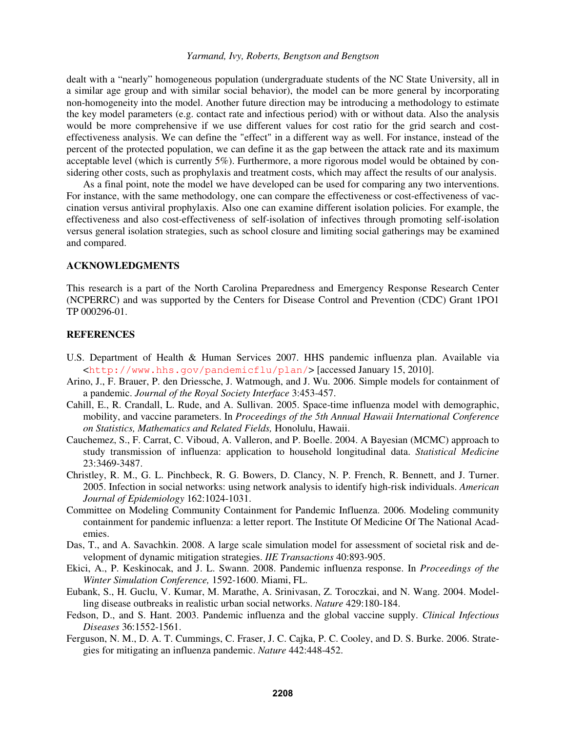dealt with a "nearly" homogeneous population (undergraduate students of the NC State University, all in a similar age group and with similar social behavior), the model can be more general by incorporating non-homogeneity into the model. Another future direction may be introducing a methodology to estimate the key model parameters (e.g. contact rate and infectious period) with or without data. Also the analysis would be more comprehensive if we use different values for cost ratio for the grid search and costeffectiveness analysis. We can define the "effect" in a different way as well. For instance, instead of the percent of the protected population, we can define it as the gap between the attack rate and its maximum acceptable level (which is currently 5%). Furthermore, a more rigorous model would be obtained by considering other costs, such as prophylaxis and treatment costs, which may affect the results of our analysis.

As a final point, note the model we have developed can be used for comparing any two interventions. For instance, with the same methodology, one can compare the effectiveness or cost-effectiveness of vaccination versus antiviral prophylaxis. Also one can examine different isolation policies. For example, the effectiveness and also cost-effectiveness of self-isolation of infectives through promoting self-isolation versus general isolation strategies, such as school closure and limiting social gatherings may be examined and compared.

## **ACKNOWLEDGMENTS**

This research is a part of the North Carolina Preparedness and Emergency Response Research Center (NCPERRC) and was supported by the Centers for Disease Control and Prevention (CDC) Grant 1PO1 TP 000296-01.

# **REFERENCES**

- U.S. Department of Health & Human Services 2007. HHS pandemic influenza plan. Available via <http://www.hhs.gov/pandemicflu/plan/> [accessed January 15, 2010].
- Arino, J., F. Brauer, P. den Driessche, J. Watmough, and J. Wu. 2006. Simple models for containment of a pandemic. *Journal of the Royal Society Interface* 3:453-457.
- Cahill, E., R. Crandall, L. Rude, and A. Sullivan. 2005. Space-time influenza model with demographic, mobility, and vaccine parameters. In *Proceedings of the 5th Annual Hawaii International Conference on Statistics, Mathematics and Related Fields,* Honolulu, Hawaii.
- Cauchemez, S., F. Carrat, C. Viboud, A. Valleron, and P. Boelle. 2004. A Bayesian (MCMC) approach to study transmission of influenza: application to household longitudinal data. *Statistical Medicine*  23:3469-3487.
- Christley, R. M., G. L. Pinchbeck, R. G. Bowers, D. Clancy, N. P. French, R. Bennett, and J. Turner. 2005. Infection in social networks: using network analysis to identify high-risk individuals. *American Journal of Epidemiology* 162:1024-1031.
- Committee on Modeling Community Containment for Pandemic Influenza. 2006. Modeling community containment for pandemic influenza: a letter report. The Institute Of Medicine Of The National Academies.
- Das, T., and A. Savachkin. 2008. A large scale simulation model for assessment of societal risk and development of dynamic mitigation strategies. *IIE Transactions* 40:893-905.
- Ekici, A., P. Keskinocak, and J. L. Swann. 2008. Pandemic influenza response. In *Proceedings of the Winter Simulation Conference,* 1592-1600. Miami, FL.
- Eubank, S., H. Guclu, V. Kumar, M. Marathe, A. Srinivasan, Z. Toroczkai, and N. Wang. 2004. Modelling disease outbreaks in realistic urban social networks. *Nature* 429:180-184.
- Fedson, D., and S. Hant. 2003. Pandemic influenza and the global vaccine supply. *Clinical Infectious Diseases* 36:1552-1561.
- Ferguson, N. M., D. A. T. Cummings, C. Fraser, J. C. Cajka, P. C. Cooley, and D. S. Burke. 2006. Strategies for mitigating an influenza pandemic. *Nature* 442:448-452.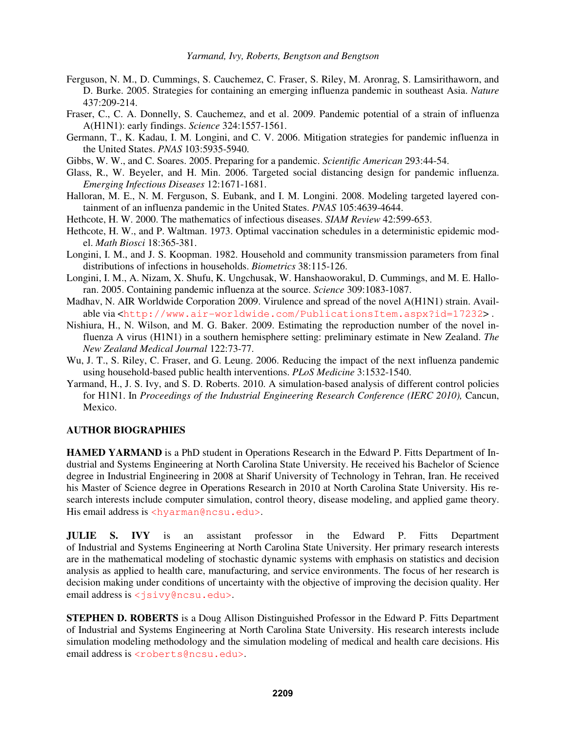- Ferguson, N. M., D. Cummings, S. Cauchemez, C. Fraser, S. Riley, M. Aronrag, S. Lamsirithaworn, and D. Burke. 2005. Strategies for containing an emerging influenza pandemic in southeast Asia. *Nature*  437:209-214.
- Fraser, C., C. A. Donnelly, S. Cauchemez, and et al. 2009. Pandemic potential of a strain of influenza A(H1N1): early findings. *Science* 324:1557-1561.
- Germann, T., K. Kadau, I. M. Longini, and C. V. 2006. Mitigation strategies for pandemic influenza in the United States. *PNAS* 103:5935-5940.
- Gibbs, W. W., and C. Soares. 2005. Preparing for a pandemic. *Scientific American* 293:44-54.
- Glass, R., W. Beyeler, and H. Min. 2006. Targeted social distancing design for pandemic influenza. *Emerging Infectious Diseases* 12:1671-1681.
- Halloran, M. E., N. M. Ferguson, S. Eubank, and I. M. Longini. 2008. Modeling targeted layered containment of an influenza pandemic in the United States. *PNAS* 105:4639-4644.
- Hethcote, H. W. 2000. The mathematics of infectious diseases. *SIAM Review* 42:599-653.
- Hethcote, H. W., and P. Waltman. 1973. Optimal vaccination schedules in a deterministic epidemic model. *Math Biosci* 18:365-381.
- Longini, I. M., and J. S. Koopman. 1982. Household and community transmission parameters from final distributions of infections in households. *Biometrics* 38:115-126.
- Longini, I. M., A. Nizam, X. Shufu, K. Ungchusak, W. Hanshaoworakul, D. Cummings, and M. E. Halloran. 2005. Containing pandemic influenza at the source. *Science* 309:1083-1087.
- Madhav, N. AIR Worldwide Corporation 2009. Virulence and spread of the novel A(H1N1) strain. Available via <http://www.air-worldwide.com/PublicationsItem.aspx?id=17232> .
- Nishiura, H., N. Wilson, and M. G. Baker. 2009. Estimating the reproduction number of the novel influenza A virus (H1N1) in a southern hemisphere setting: preliminary estimate in New Zealand. *The New Zealand Medical Journal* 122:73-77.
- Wu, J. T., S. Riley, C. Fraser, and G. Leung. 2006. Reducing the impact of the next influenza pandemic using household-based public health interventions. *PLoS Medicine* 3:1532-1540.
- Yarmand, H., J. S. Ivy, and S. D. Roberts. 2010. A simulation-based analysis of different control policies for H1N1. In *Proceedings of the Industrial Engineering Research Conference (IERC 2010),* Cancun, Mexico.

# **AUTHOR BIOGRAPHIES**

**HAMED YARMAND** is a PhD student in Operations Research in the Edward P. Fitts Department of Industrial and Systems Engineering at North Carolina State University. He received his Bachelor of Science degree in Industrial Engineering in 2008 at Sharif University of Technology in Tehran, Iran. He received his Master of Science degree in Operations Research in 2010 at North Carolina State University. His research interests include computer simulation, control theory, disease modeling, and applied game theory. His email address is <hyarman@ncsu.edu>.

**JULIE S. IVY** is an assistant professor in the Edward P. Fitts Department of Industrial and Systems Engineering at North Carolina State University. Her primary research interests are in the mathematical modeling of stochastic dynamic systems with emphasis on statistics and decision analysis as applied to health care, manufacturing, and service environments. The focus of her research is decision making under conditions of uncertainty with the objective of improving the decision quality. Her email address is <jsivy@ncsu.edu>.

**STEPHEN D. ROBERTS** is a Doug Allison Distinguished Professor in the Edward P. Fitts Department of Industrial and Systems Engineering at North Carolina State University. His research interests include simulation modeling methodology and the simulation modeling of medical and health care decisions. His email address is <roberts@ncsu.edu>.